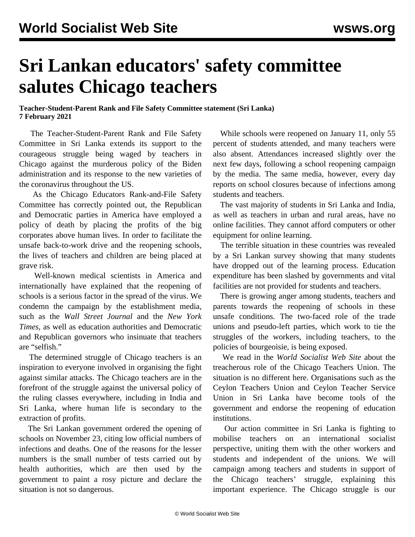## **Sri Lankan educators' safety committee salutes Chicago teachers**

## **Teacher-Student-Parent Rank and File Safety Committee statement (Sri Lanka) 7 February 2021**

 The Teacher-Student-Parent Rank and File Safety Committee in Sri Lanka extends its support to the courageous struggle being waged by teachers in Chicago against the murderous policy of the Biden administration and its response to the new varieties of the coronavirus throughout the US.

 As the Chicago Educators Rank-and-File Safety Committee has correctly pointed out, the Republican and Democratic parties in America have employed a policy of death by placing the profits of the big corporates above human lives. In order to facilitate the unsafe back-to-work drive and the reopening schools, the lives of teachers and children are being placed at grave risk.

 Well-known medical scientists in America and internationally have explained that the reopening of schools is a serious factor in the spread of the virus. We condemn the campaign by the establishment media, such as the *Wall Street Journal* and the *New York Times*, as well as education authorities and Democratic and Republican governors who insinuate that teachers are "selfish."

 The determined struggle of Chicago teachers is an inspiration to everyone involved in organising the fight against similar attacks. The Chicago teachers are in the forefront of the struggle against the universal policy of the ruling classes everywhere, including in India and Sri Lanka, where human life is secondary to the extraction of profits.

 The Sri Lankan government ordered the opening of schools on November 23, citing low official numbers of infections and deaths. One of the reasons for the lesser numbers is the small number of tests carried out by health authorities, which are then used by the government to paint a rosy picture and declare the situation is not so dangerous.

 While schools were reopened on January 11, only 55 percent of students attended, and many teachers were also absent. Attendances increased slightly over the next few days, following a school reopening campaign by the media. The same media, however, every day reports on school closures because of infections among students and teachers.

 The vast majority of students in Sri Lanka and India, as well as teachers in urban and rural areas, have no online facilities. They cannot afford computers or other equipment for online learning.

 The terrible situation in these countries was revealed by a Sri Lankan survey showing that many students have dropped out of the learning process. Education expenditure has been slashed by governments and vital facilities are not provided for students and teachers.

 There is growing anger among students, teachers and parents towards the reopening of schools in these unsafe conditions. The two-faced role of the trade unions and pseudo-left parties, which work to tie the struggles of the workers, including teachers, to the policies of bourgeoisie, is being exposed.

 We read in the *World Socialist Web Site* about the treacherous role of the Chicago Teachers Union. The situation is no different here. Organisations such as the Ceylon Teachers Union and Ceylon Teacher Service Union in Sri Lanka have become tools of the government and endorse the reopening of education institutions.

 Our action committee in Sri Lanka is fighting to mobilise teachers on an international socialist perspective, uniting them with the other workers and students and independent of the unions. We will campaign among teachers and students in support of the Chicago teachers' struggle, explaining this important experience. The Chicago struggle is our